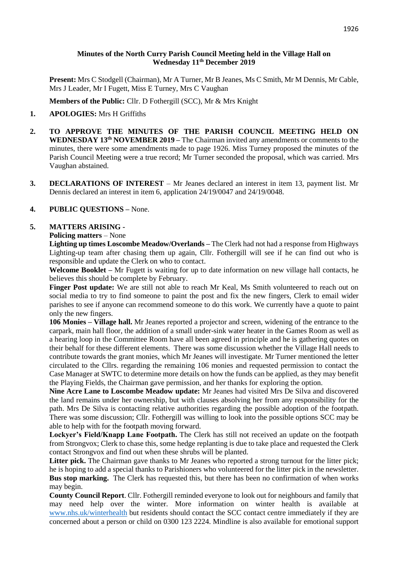### **Minutes of the North Curry Parish Council Meeting held in the Village Hall on Wednesday 11th December 2019**

**Present:** Mrs C Stodgell (Chairman), Mr A Turner, Mr B Jeanes, Ms C Smith, Mr M Dennis, Mr Cable, Mrs J Leader, Mr I Fugett, Miss E Turney, Mrs C Vaughan

**Members of the Public:** Cllr. D Fothergill (SCC), Mr & Mrs Knight

## **1. APOLOGIES:** Mrs H Griffiths

- **2. TO APPROVE THE MINUTES OF THE PARISH COUNCIL MEETING HELD ON WEDNESDAY 13th NOVEMBER 2019 –** The Chairman invited any amendments or comments to the minutes, there were some amendments made to page 1926. Miss Turney proposed the minutes of the Parish Council Meeting were a true record; Mr Turner seconded the proposal, which was carried. Mrs Vaughan abstained.
- **3. DECLARATIONS OF INTEREST** Mr Jeanes declared an interest in item 13, payment list. Mr Dennis declared an interest in item 6, application 24/19/0047 and 24/19/0048.

# **4. PUBLIC QUESTIONS –** None.

### **5. MATTERS ARISING -**

#### **Policing matters** – None

**Lighting up times Loscombe Meadow/Overlands –** The Clerk had not had a response from Highways Lighting-up team after chasing them up again, Cllr. Fothergill will see if he can find out who is responsible and update the Clerk on who to contact.

**Welcome Booklet –** Mr Fugett is waiting for up to date information on new village hall contacts, he believes this should be complete by February.

**Finger Post update:** We are still not able to reach Mr Keal, Ms Smith volunteered to reach out on social media to try to find someone to paint the post and fix the new fingers, Clerk to email wider parishes to see if anyone can recommend someone to do this work. We currently have a quote to paint only the new fingers.

**106 Monies – Village hall.** Mr Jeanes reported a projector and screen, widening of the entrance to the carpark, main hall floor, the addition of a small under-sink water heater in the Games Room as well as a hearing loop in the Committee Room have all been agreed in principle and he is gathering quotes on their behalf for these different elements. There was some discussion whether the Village Hall needs to contribute towards the grant monies, which Mr Jeanes will investigate. Mr Turner mentioned the letter circulated to the Cllrs. regarding the remaining 106 monies and requested permission to contact the Case Manager at SWTC to determine more details on how the funds can be applied, as they may benefit the Playing Fields, the Chairman gave permission, and her thanks for exploring the option.

**Nine Acre Lane to Loscombe Meadow update:** Mr Jeanes had visited Mrs De Silva and discovered the land remains under her ownership, but with clauses absolving her from any responsibility for the path. Mrs De Silva is contacting relative authorities regarding the possible adoption of the footpath. There was some discussion; Cllr. Fothergill was willing to look into the possible options SCC may be able to help with for the footpath moving forward.

**Lockyer's Field/Knapp Lane Footpath.** The Clerk has still not received an update on the footpath from Strongvox; Clerk to chase this, some hedge replanting is due to take place and requested the Clerk contact Strongvox and find out when these shrubs will be planted.

Litter pick. The Chairman gave thanks to Mr Jeanes who reported a strong turnout for the litter pick; he is hoping to add a special thanks to Parishioners who volunteered for the litter pick in the newsletter. **Bus stop marking.** The Clerk has requested this, but there has been no confirmation of when works may begin.

**County Council Report**. Cllr. Fothergill reminded everyone to look out for neighbours and family that may need help over the winter. More information on winter health is available at [www.nhs.uk/winterhealth](http://www.nhs.uk/winterhealth) but residents should contact the SCC contact centre immediately if they are concerned about a person or child on 0300 123 2224. Mindline is also available for emotional support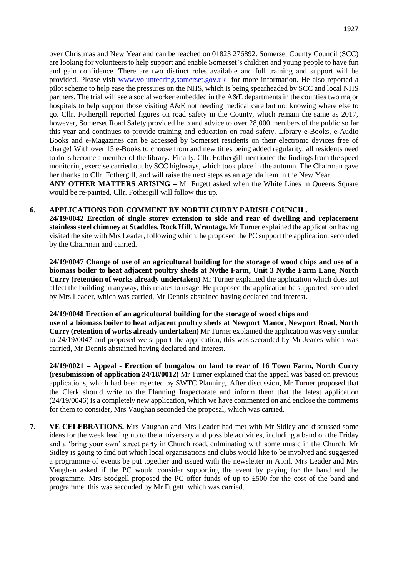over Christmas and New Year and can be reached on 01823 276892. Somerset County Council (SCC) are looking for volunteers to help support and enable Somerset's children and young people to have fun and gain confidence. There are two distinct roles available and full training and support will be provided. Please visit [www.volunteering.somerset.gov.uk](http://www.volunteering.somerset.gov.uk/) for more information. He also reported a pilot scheme to help ease the pressures on the NHS, which is being spearheaded by SCC and local NHS partners. The trial will see a social worker embedded in the A&E departments in the counties two major hospitals to help support those visiting A&E not needing medical care but not knowing where else to go. Cllr. Fothergill reported figures on road safety in the County, which remain the same as 2017, however, Somerset Road Safety provided help and advice to over 28,000 members of the public so far this year and continues to provide training and education on road safety. Library e-Books, e-Audio Books and e-Magazines can be accessed by Somerset residents on their electronic devices free of charge! With over 15 e-Books to choose from and new titles being added regularity, all residents need to do is become a member of the library. Finally, Cllr. Fothergill mentioned the findings from the speed monitoring exercise carried out by SCC highways, which took place in the autumn. The Chairman gave her thanks to Cllr. Fothergill, and will raise the next steps as an agenda item in the New Year.

**ANY OTHER MATTERS ARISING –** Mr Fugett asked when the White Lines in Queens Square would be re-painted, Cllr. Fothergill will follow this up.

#### **6. APPLICATIONS FOR COMMENT BY NORTH CURRY PARISH COUNCIL.**

**24/19/0042 Erection of single storey extension to side and rear of dwelling and replacement stainless steel chimney at Staddles, Rock Hill, Wrantage.** Mr Turner explained the application having visited the site with Mrs Leader, following which, he proposed the PC support the application, seconded by the Chairman and carried.

**24/19/0047 Change of use of an agricultural building for the storage of wood chips and use of a biomass boiler to heat adjacent poultry sheds at Nythe Farm, Unit 3 Nythe Farm Lane, North Curry (retention of works already undertaken)** Mr Turner explained the application which does not affect the building in anyway, this relates to usage. He proposed the application be supported, seconded by Mrs Leader, which was carried, Mr Dennis abstained having declared and interest.

#### **24/19/0048 Erection of an agricultural building for the storage of wood chips and**

**use of a biomass boiler to heat adjacent poultry sheds at Newport Manor, Newport Road, North Curry (retention of works already undertaken)** Mr Turner explained the application was very similar to 24/19/0047 and proposed we support the application, this was seconded by Mr Jeanes which was carried, Mr Dennis abstained having declared and interest.

**24/19/0021 – Appeal - Erection of bungalow on land to rear of 16 Town Farm, North Curry (resubmission of application 24/18/0012)** Mr Turner explained that the appeal was based on previous applications, which had been rejected by SWTC Planning. After discussion, Mr Turner proposed that the Clerk should write to the Planning Inspectorate and inform them that the latest application (24/19/0046) is a completely new application, which we have commented on and enclose the comments for them to consider, Mrs Vaughan seconded the proposal, which was carried.

**7. VE CELEBRATIONS.** Mrs Vaughan and Mrs Leader had met with Mr Sidley and discussed some ideas for the week leading up to the anniversary and possible activities, including a band on the Friday and a 'bring your own' street party in Church road, culminating with some music in the Church. Mr Sidley is going to find out which local organisations and clubs would like to be involved and suggested a programme of events be put together and issued with the newsletter in April. Mrs Leader and Mrs Vaughan asked if the PC would consider supporting the event by paying for the band and the programme, Mrs Stodgell proposed the PC offer funds of up to £500 for the cost of the band and programme, this was seconded by Mr Fugett, which was carried.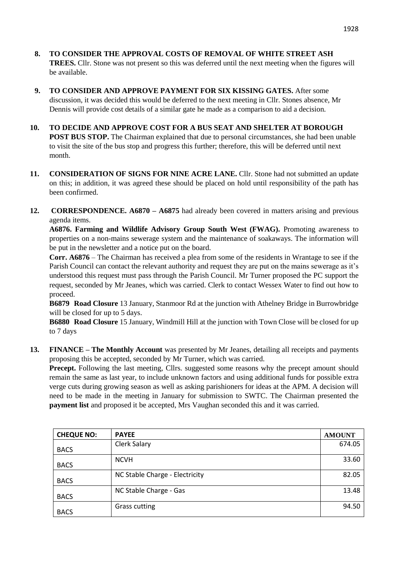- **8. TO CONSIDER THE APPROVAL COSTS OF REMOVAL OF WHITE STREET ASH TREES.** Cllr. Stone was not present so this was deferred until the next meeting when the figures will be available.
- **9. TO CONSIDER AND APPROVE PAYMENT FOR SIX KISSING GATES.** After some discussion, it was decided this would be deferred to the next meeting in Cllr. Stones absence, Mr Dennis will provide cost details of a similar gate he made as a comparison to aid a decision.
- **10. TO DECIDE AND APPROVE COST FOR A BUS SEAT AND SHELTER AT BOROUGH POST BUS STOP.** The Chairman explained that due to personal circumstances, she had been unable to visit the site of the bus stop and progress this further; therefore, this will be deferred until next month.
- 11. **CONSIDERATION OF SIGNS FOR NINE ACRE LANE.** Cllr. Stone had not submitted an update on this; in addition, it was agreed these should be placed on hold until responsibility of the path has been confirmed.
- **12. CORRESPONDENCE. A6870 – A6875** had already been covered in matters arising and previous agenda items.

**A6876. Farming and Wildlife Advisory Group South West (FWAG).** Promoting awareness to properties on a non-mains sewerage system and the maintenance of soakaways. The information will be put in the newsletter and a notice put on the board.

**Corr. A6876** – The Chairman has received a plea from some of the residents in Wrantage to see if the Parish Council can contact the relevant authority and request they are put on the mains sewerage as it's understood this request must pass through the Parish Council. Mr Turner proposed the PC support the request, seconded by Mr Jeanes, which was carried. Clerk to contact Wessex Water to find out how to proceed.

**B6879 Road Closure** 13 January, Stanmoor Rd at the junction with Athelney Bridge in Burrowbridge will be closed for up to 5 days.

**B6880 Road Closure** 15 January, Windmill Hill at the junction with Town Close will be closed for up to 7 days

**13. FINANCE – The Monthly Account** was presented by Mr Jeanes, detailing all receipts and payments proposing this be accepted, seconded by Mr Turner, which was carried.

**Precept.** Following the last meeting, Cllrs. suggested some reasons why the precept amount should remain the same as last year, to include unknown factors and using additional funds for possible extra verge cuts during growing season as well as asking parishioners for ideas at the APM. A decision will need to be made in the meeting in January for submission to SWTC. The Chairman presented the **payment list** and proposed it be accepted, Mrs Vaughan seconded this and it was carried.

| <b>CHEQUE NO:</b> | <b>PAYEE</b>                   | <b>AMOUNT</b> |
|-------------------|--------------------------------|---------------|
| <b>BACS</b>       | Clerk Salary                   | 674.05        |
| <b>BACS</b>       | <b>NCVH</b>                    | 33.60         |
| <b>BACS</b>       | NC Stable Charge - Electricity | 82.05         |
| <b>BACS</b>       | NC Stable Charge - Gas         | 13.48         |
| <b>BACS</b>       | <b>Grass cutting</b>           | 94.50         |